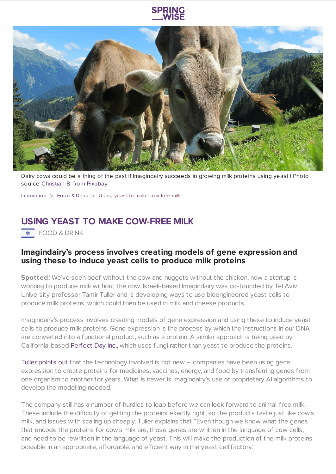

Dairy cows could be a thing of the past if Imagindairy succeeds in growing milk proteins using yeast | Photo source [Christian](https://pixabay.com/photos/cows-cattle-grazing-mammals-203460/) B. from Pixabay

[Innovation](https://www.springwise.com/search?type=innovation)  $>$  [Food](https://www.springwise.com/search?type=innovation§or=food-and-drink) & Drink  $>$  Using yeast to make cow-free milk

## **USING YEAST TO MAKE COW-FREE MILK**

 $\overline{\bullet}$  FOOD & DRINK

## **Imagindairy's process involves creating models of gene expression and using these to induce yeast cells to produce milk proteins**

**Spotted:** We've seen beef without the cow and nuggets without the chicken, now a startup is working to produce milk without the cow. Israeli-based Imagindairy was co-founded by Tel Aviv University professor Tamir Tuller and is developing ways to use bioengineered yeast cells to produce milk proteins, which could then be used in milk and cheese products.

Imagindairy's process involves creating models of gene expression and using these to induce yeast cells to produce milk proteins. Gene expression is the process by which the instructions in our DNA are converted into a functional product, such as a protein. A similar approach is being used by California-based [Perfect](https://perfectdayfoods.com/) Day Inc., which uses fungi rather than yeast to produce the proteins.

Tuller [points](https://newatlas.com/science/imagindairy-milk-yeast-cow/) out that the technology involved is not new – companies have been using gene expression to create proteins for medicines, vaccines, energy, and food by transferring genes from one organism to another for years. What is newer is Imagindairy's use of proprietary AI algorithms to develop the modelling needed.

The company still has a number of hurdles to leap before we can look forward to animal-free milk. These include the difficulty of getting the proteins exactly right, so the products taste just like cow's milk, and issues with scaling up cheaply. Tuller explains that "Even though we know what the genes that encode the proteins for cow's milk are, those genes are written in the language of cow cells, and need to be rewritten in the language of yeast. This will make the production of the milk proteins possible in an appropriate, affordable, and efficient way in the yeast cell factory."